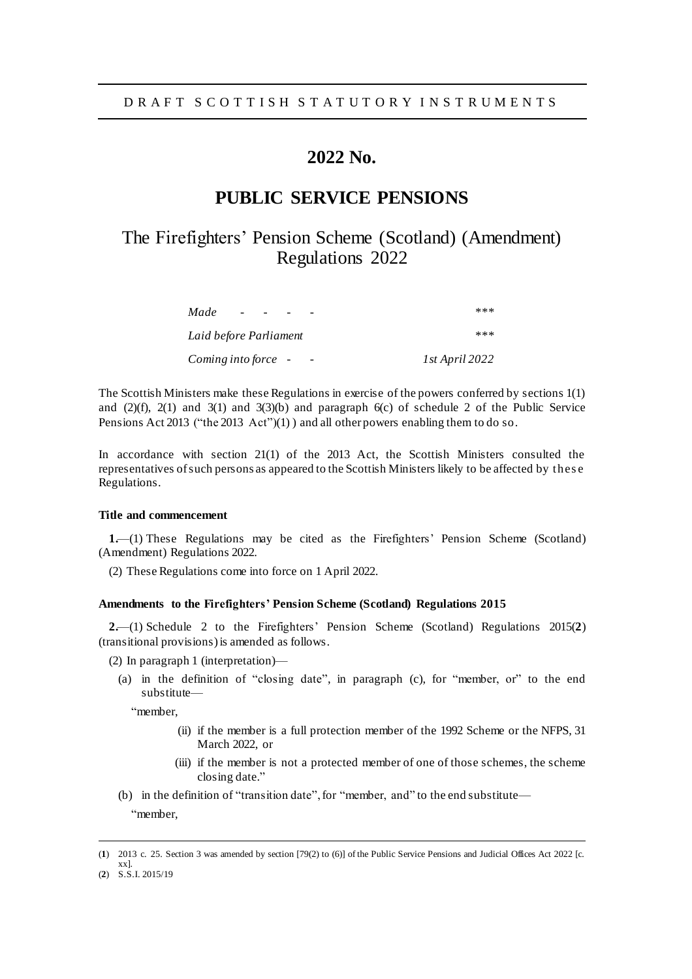# **2022 No.**

### **PUBLIC SERVICE PENSIONS**

## The Firefighters' Pension Scheme (Scotland) (Amendment) Regulations 2022

| Made<br>$\overline{\phantom{0}}$ | ***            |
|----------------------------------|----------------|
| Laid before Parliament           | ***            |
| Coming into force -              | 1st April 2022 |

The Scottish Ministers make these Regulations in exercise of the powers conferred by sections 1(1) and  $(2)(f)$ ,  $2(1)$  and  $3(1)$  and  $3(3)(b)$  and paragraph  $6(c)$  of schedule 2 of the Public Service Pensions Act 2013 ("the 2013 Act")(1)) and all other powers enabling them to do so.

In accordance with section 21(1) of the 2013 Act, the Scottish Ministers consulted the representatives of such persons as appeared to the Scottish Ministers likely to be affected by thes e Regulations.

### **Title and commencement**

**1.**—(1) These Regulations may be cited as the Firefighters' Pension Scheme (Scotland) (Amendment) Regulations 2022.

(2) These Regulations come into force on 1 April 2022.

#### **Amendments to the Firefighters' Pension Scheme (Scotland) Regulations 2015**

**2.**—(1) Schedule 2 to the Firefighters' Pension Scheme (Scotland) Regulations 2015(**2**) (transitional provisions)is amended as follows.

- (2) In paragraph 1 (interpretation)—
	- (a) in the definition of "closing date", in paragraph (c), for "member, or" to the end substitute—

"member,

- (ii) if the member is a full protection member of the 1992 Scheme or the NFPS, 31 March 2022, or
- (iii) if the member is not a protected member of one of those schemes, the scheme closing date."
- (b) in the definition of "transition date", for "member, and" to the end substitute— "member,

l

<sup>(</sup>**1**) 2013 c. 25. Section 3 was amended by section [79(2) to (6)] of the Public Service Pensions and Judicial Offices Act 2022 [c. xx].

<sup>(</sup>**2**) S.S.I. 2015/19